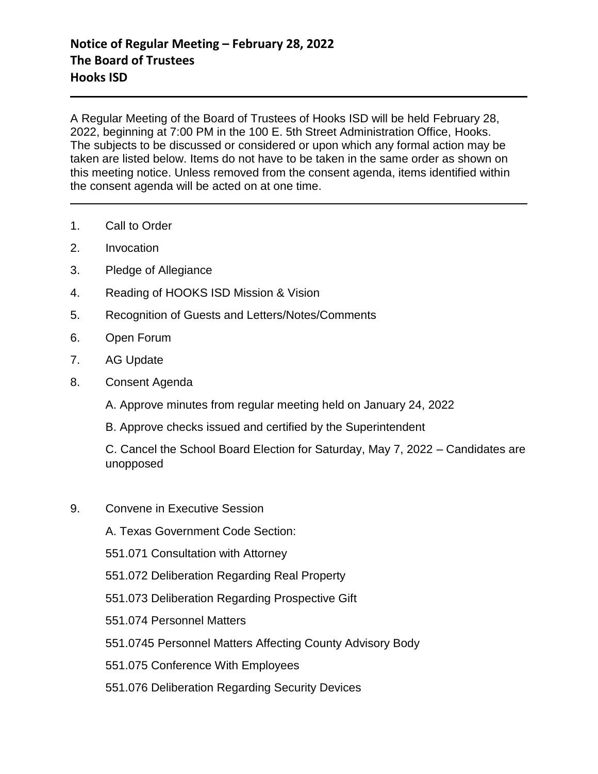A Regular Meeting of the Board of Trustees of Hooks ISD will be held February 28, 2022, beginning at 7:00 PM in the 100 E. 5th Street Administration Office, Hooks. The subjects to be discussed or considered or upon which any formal action may be taken are listed below. Items do not have to be taken in the same order as shown on this meeting notice. Unless removed from the consent agenda, items identified within the consent agenda will be acted on at one time.

- 1. Call to Order
- 2. Invocation
- 3. Pledge of Allegiance
- 4. Reading of HOOKS ISD Mission & Vision
- 5. Recognition of Guests and Letters/Notes/Comments
- 6. Open Forum
- 7. AG Update
- 8. Consent Agenda
	- A. Approve minutes from regular meeting held on January 24, 2022
	- B. Approve checks issued and certified by the Superintendent

C. Cancel the School Board Election for Saturday, May 7, 2022 – Candidates are unopposed

- 9. Convene in Executive Session
	- A. Texas Government Code Section:
	- 551.071 Consultation with Attorney
	- 551.072 Deliberation Regarding Real Property
	- 551.073 Deliberation Regarding Prospective Gift
	- 551.074 Personnel Matters
	- 551.0745 Personnel Matters Affecting County Advisory Body
	- 551.075 Conference With Employees
	- 551.076 Deliberation Regarding Security Devices